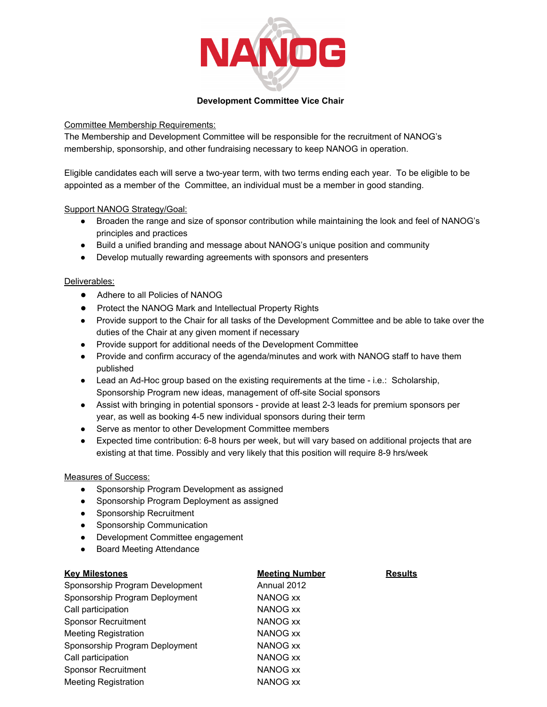

## **Development Committee Vice Chair**

# Committee Membership Requirements:

The Membership and Development Committee will be responsible for the recruitment of NANOG's membership, sponsorship, and other fundraising necessary to keep NANOG in operation.

Eligible candidates each will serve a two-year term, with two terms ending each year. To be eligible to be appointed as a member of the Committee, an individual must be a member in good standing.

## Support NANOG Strategy/Goal:

- Broaden the range and size of sponsor contribution while maintaining the look and feel of NANOG's principles and practices
- Build a unified branding and message about NANOG's unique position and community
- Develop mutually rewarding agreements with sponsors and presenters

#### Deliverables:

- Adhere to all Policies of NANOG
- Protect the NANOG Mark and Intellectual Property Rights
- Provide support to the Chair for all tasks of the Development Committee and be able to take over the duties of the Chair at any given moment if necessary
- Provide support for additional needs of the Development Committee
- Provide and confirm accuracy of the agenda/minutes and work with NANOG staff to have them published
- Lead an Ad-Hoc group based on the existing requirements at the time i.e.: Scholarship, Sponsorship Program new ideas, management of off-site Social sponsors
- Assist with bringing in potential sponsors provide at least 2-3 leads for premium sponsors per year, as well as booking 4-5 new individual sponsors during their term
- Serve as mentor to other Development Committee members
- Expected time contribution: 68 hours per week, but will vary based on additional projects that are existing at that time. Possibly and very likely that this position will require 8-9 hrs/week

#### Measures of Success:

- Sponsorship Program Development as assigned
- Sponsorship Program Deployment as assigned
- Sponsorship Recruitment
- Sponsorship Communication
- Development Committee engagement
- Board Meeting Attendance

# **Key Milestones Meeting Number Results** Sponsorship Program Development Annual 2012 Sponsorship Program Deployment NANOG xx Call participation NANOG xx Sponsor Recruitment NANOG xx Meeting Registration NANOG xx Sponsorship Program Deployment NANOG xx Call participation NANOG xx Sponsor Recruitment NANOG xx Meeting Registration NANOG xx